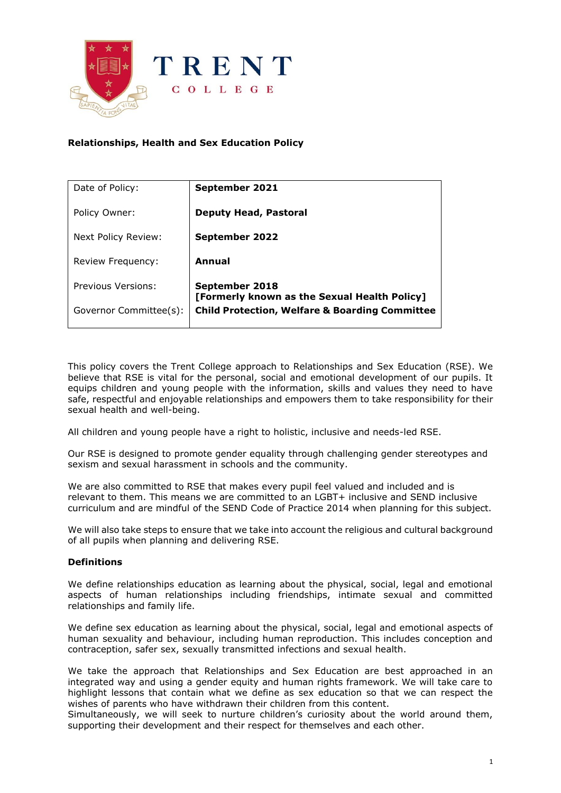

# **Relationships, Health and Sex Education Policy**

| Date of Policy:          | September 2021                                                 |
|--------------------------|----------------------------------------------------------------|
| Policy Owner:            | <b>Deputy Head, Pastoral</b>                                   |
| Next Policy Review:      | September 2022                                                 |
| <b>Review Frequency:</b> | Annual                                                         |
| Previous Versions:       | September 2018<br>[Formerly known as the Sexual Health Policy] |
| Governor Committee(s):   | <b>Child Protection, Welfare &amp; Boarding Committee</b>      |

This policy covers the Trent College approach to Relationships and Sex Education (RSE). We believe that RSE is vital for the personal, social and emotional development of our pupils. It equips children and young people with the information, skills and values they need to have safe, respectful and enjoyable relationships and empowers them to take responsibility for their sexual health and well-being.

All children and young people have a right to holistic, inclusive and needs-led RSE.

Our RSE is designed to promote gender equality through challenging gender stereotypes and sexism and sexual harassment in schools and the community.

We are also committed to RSE that makes every pupil feel valued and included and is relevant to them. This means we are committed to an LGBT+ inclusive and SEND inclusive curriculum and are mindful of the SEND Code of Practice 2014 when planning for this subject.

We will also take steps to ensure that we take into account the religious and cultural background of all pupils when planning and delivering RSE.

### **Definitions**

We define relationships education as learning about the physical, social, legal and emotional aspects of human relationships including friendships, intimate sexual and committed relationships and family life.

We define sex education as learning about the physical, social, legal and emotional aspects of human sexuality and behaviour, including human reproduction. This includes conception and contraception, safer sex, sexually transmitted infections and sexual health.

We take the approach that Relationships and Sex Education are best approached in an integrated way and using a gender equity and human rights framework. We will take care to highlight lessons that contain what we define as sex education so that we can respect the wishes of parents who have withdrawn their children from this content.

Simultaneously, we will seek to nurture children's curiosity about the world around them, supporting their development and their respect for themselves and each other.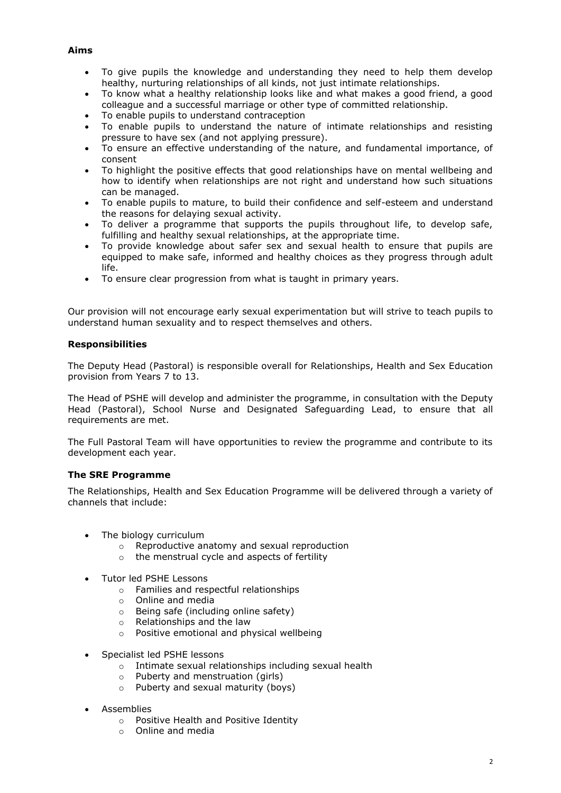## **Aims**

- To give pupils the knowledge and understanding they need to help them develop healthy, nurturing relationships of all kinds, not just intimate relationships.
- To know what a healthy relationship looks like and what makes a good friend, a good colleague and a successful marriage or other type of committed relationship.
- To enable pupils to understand contraception
- To enable pupils to understand the nature of intimate relationships and resisting pressure to have sex (and not applying pressure).
- To ensure an effective understanding of the nature, and fundamental importance, of consent
- To highlight the positive effects that good relationships have on mental wellbeing and how to identify when relationships are not right and understand how such situations can be managed.
- To enable pupils to mature, to build their confidence and self-esteem and understand the reasons for delaying sexual activity.
- To deliver a programme that supports the pupils throughout life, to develop safe, fulfilling and healthy sexual relationships, at the appropriate time.
- To provide knowledge about safer sex and sexual health to ensure that pupils are equipped to make safe, informed and healthy choices as they progress through adult life.
- To ensure clear progression from what is taught in primary years.

Our provision will not encourage early sexual experimentation but will strive to teach pupils to understand human sexuality and to respect themselves and others.

### **Responsibilities**

The Deputy Head (Pastoral) is responsible overall for Relationships, Health and Sex Education provision from Years 7 to 13.

The Head of PSHE will develop and administer the programme, in consultation with the Deputy Head (Pastoral), School Nurse and Designated Safeguarding Lead, to ensure that all requirements are met.

The Full Pastoral Team will have opportunities to review the programme and contribute to its development each year.

### **The SRE Programme**

The Relationships, Health and Sex Education Programme will be delivered through a variety of channels that include:

- The biology curriculum
	- o Reproductive anatomy and sexual reproduction
	- o the menstrual cycle and aspects of fertility
- Tutor led PSHE Lessons
	- o Families and respectful relationships
	- o Online and media
	- o Being safe (including online safety)
	- o Relationships and the law
	- o Positive emotional and physical wellbeing
- Specialist led PSHE lessons
	- o Intimate sexual relationships including sexual health
	- o Puberty and menstruation (girls)
	- o Puberty and sexual maturity (boys)
- Assemblies
	- o Positive Health and Positive Identity
	- o Online and media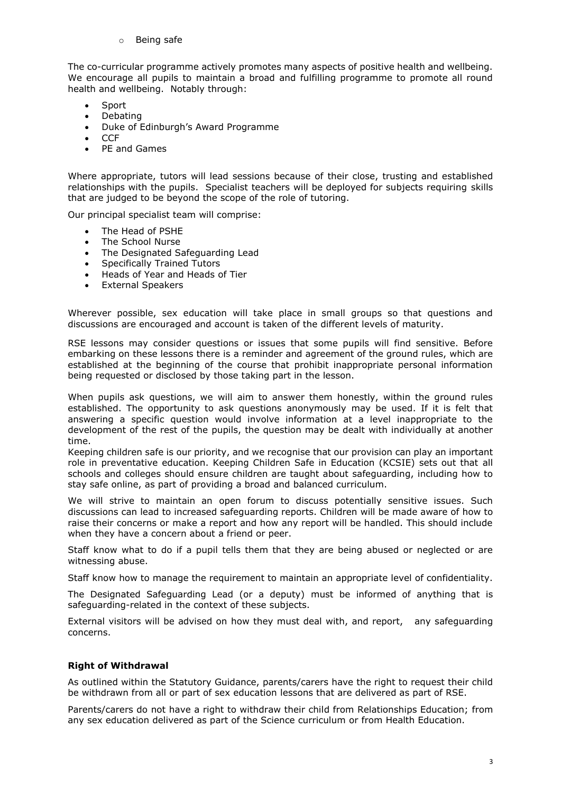o Being safe

The co-curricular programme actively promotes many aspects of positive health and wellbeing. We encourage all pupils to maintain a broad and fulfilling programme to promote all round health and wellbeing. Notably through:

- **Sport**
- Debating
- Duke of Edinburgh's Award Programme
- CCF
- PF and Games

Where appropriate, tutors will lead sessions because of their close, trusting and established relationships with the pupils. Specialist teachers will be deployed for subjects requiring skills that are judged to be beyond the scope of the role of tutoring.

Our principal specialist team will comprise:

- The Head of PSHE
- The School Nurse
- The Designated Safeguarding Lead
- Specifically Trained Tutors
- Heads of Year and Heads of Tier
- External Speakers

Wherever possible, sex education will take place in small groups so that questions and discussions are encouraged and account is taken of the different levels of maturity.

RSE lessons may consider questions or issues that some pupils will find sensitive. Before embarking on these lessons there is a reminder and agreement of the ground rules, which are established at the beginning of the course that prohibit inappropriate personal information being requested or disclosed by those taking part in the lesson.

When pupils ask questions, we will aim to answer them honestly, within the ground rules established. The opportunity to ask questions anonymously may be used. If it is felt that answering a specific question would involve information at a level inappropriate to the development of the rest of the pupils, the question may be dealt with individually at another time.

Keeping children safe is our priority, and we recognise that our provision can play an important role in preventative education. Keeping Children Safe in Education (KCSIE) sets out that all schools and colleges should ensure children are taught about safeguarding, including how to stay safe online, as part of providing a broad and balanced curriculum.

We will strive to maintain an open forum to discuss potentially sensitive issues. Such discussions can lead to increased safeguarding reports. Children will be made aware of how to raise their concerns or make a report and how any report will be handled. This should include when they have a concern about a friend or peer.

Staff know what to do if a pupil tells them that they are being abused or neglected or are witnessing abuse.

Staff know how to manage the requirement to maintain an appropriate level of confidentiality.

The Designated Safeguarding Lead (or a deputy) must be informed of anything that is safeguarding-related in the context of these subjects.

External visitors will be advised on how they must deal with, and report, any safeguarding concerns.

### **Right of Withdrawal**

As outlined within the Statutory Guidance, parents/carers have the right to request their child be withdrawn from all or part of sex education lessons that are delivered as part of RSE.

Parents/carers do not have a right to withdraw their child from Relationships Education; from any sex education delivered as part of the Science curriculum or from Health Education.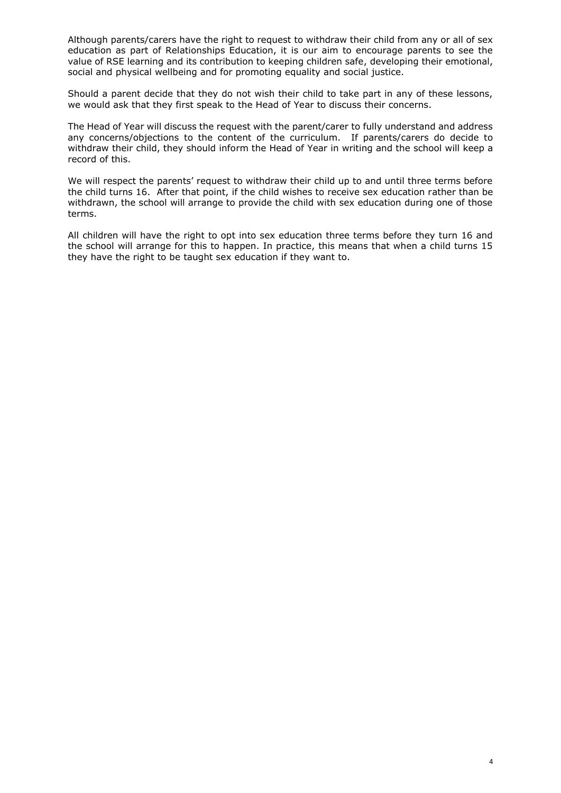Although parents/carers have the right to request to withdraw their child from any or all of sex education as part of Relationships Education, it is our aim to encourage parents to see the value of RSE learning and its contribution to keeping children safe, developing their emotional, social and physical wellbeing and for promoting equality and social justice.

Should a parent decide that they do not wish their child to take part in any of these lessons, we would ask that they first speak to the Head of Year to discuss their concerns.

The Head of Year will discuss the request with the parent/carer to fully understand and address any concerns/objections to the content of the curriculum. If parents/carers do decide to withdraw their child, they should inform the Head of Year in writing and the school will keep a record of this.

We will respect the parents' request to withdraw their child up to and until three terms before the child turns 16. After that point, if the child wishes to receive sex education rather than be withdrawn, the school will arrange to provide the child with sex education during one of those terms.

All children will have the right to opt into sex education three terms before they turn 16 and the school will arrange for this to happen. In practice, this means that when a child turns 15 they have the right to be taught sex education if they want to.